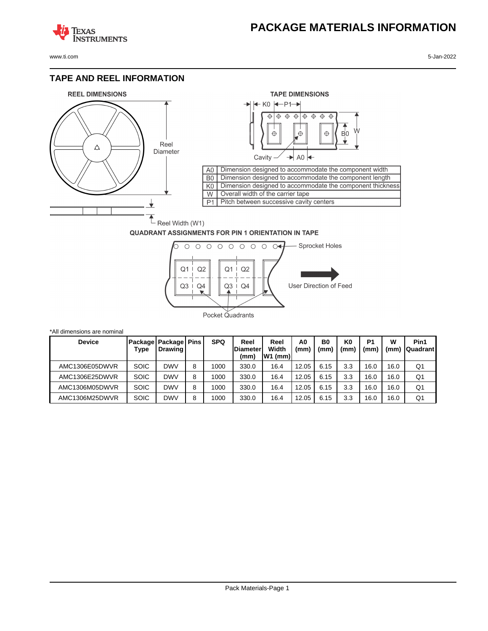## **PACKAGE MATERIALS INFORMATION**

**TEXAS NSTRUMENTS** 

www.ti.com 5-Jan-2022

## **TAPE AND REEL INFORMATION**





## **QUADRANT ASSIGNMENTS FOR PIN 1 ORIENTATION IN TAPE**



| *All dimensions are nominal |             |                                               |   |            |                                 |                            |           |            |                        |                       |           |                  |
|-----------------------------|-------------|-----------------------------------------------|---|------------|---------------------------------|----------------------------|-----------|------------|------------------------|-----------------------|-----------|------------------|
| <b>Device</b>               | Type        | <b>Package Package Pins</b><br><b>Drawing</b> |   | <b>SPQ</b> | Reel<br><b>Diameter</b><br>(mm) | Reel<br>Width<br>$W1$ (mm) | A0<br>(mm | B0<br>(mm) | K <sub>0</sub><br>(mm) | P <sub>1</sub><br>(mm | w<br>(mm) | Pin1<br>Quadrant |
| AMC1306E05DWVR              | <b>SOIC</b> | <b>DWV</b>                                    | 8 | 1000       | 330.0                           | 16.4                       | 12.05     | 6.15       | 3.3                    | 16.0                  | 16.0      | Q1               |
| AMC1306E25DWVR              | <b>SOIC</b> | <b>DWV</b>                                    | 8 | 1000       | 330.0                           | 16.4                       | 12.05     | 6.15       | 3.3                    | 16.0                  | 16.0      | Q1               |
| AMC1306M05DWVR              | <b>SOIC</b> | <b>DWV</b>                                    | 8 | 1000       | 330.0                           | 16.4                       | 12.05     | 6.15       | 3.3                    | 16.0                  | 16.0      | Q1               |
| AMC1306M25DWVR              | <b>SOIC</b> | <b>DWV</b>                                    | 8 | 1000       | 330.0                           | 16.4                       | 12.05     | 6.15       | 3.3                    | 16.0                  | 16.0      | Q1               |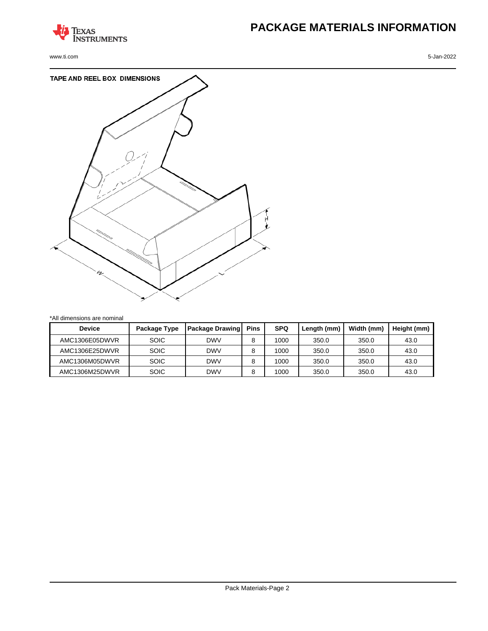

www.ti.com 5-Jan-2022

# **PACKAGE MATERIALS INFORMATION**



\*All dimensions are nominal

| <b>Device</b>  | Package Type | <b>Package Drawing</b> | <b>Pins</b> | <b>SPQ</b> | Length (mm) | Width (mm) | Height (mm) |
|----------------|--------------|------------------------|-------------|------------|-------------|------------|-------------|
| AMC1306E05DWVR | <b>SOIC</b>  | DWV                    | 8           | 1000       | 350.0       | 350.0      | 43.0        |
| AMC1306E25DWVR | <b>SOIC</b>  | <b>DWV</b>             | 8           | 1000       | 350.0       | 350.0      | 43.0        |
| AMC1306M05DWVR | <b>SOIC</b>  | <b>DWV</b>             |             | 1000       | 350.0       | 350.0      | 43.0        |
| AMC1306M25DWVR | <b>SOIC</b>  | <b>DWV</b>             | 8           | 1000       | 350.0       | 350.0      | 43.0        |